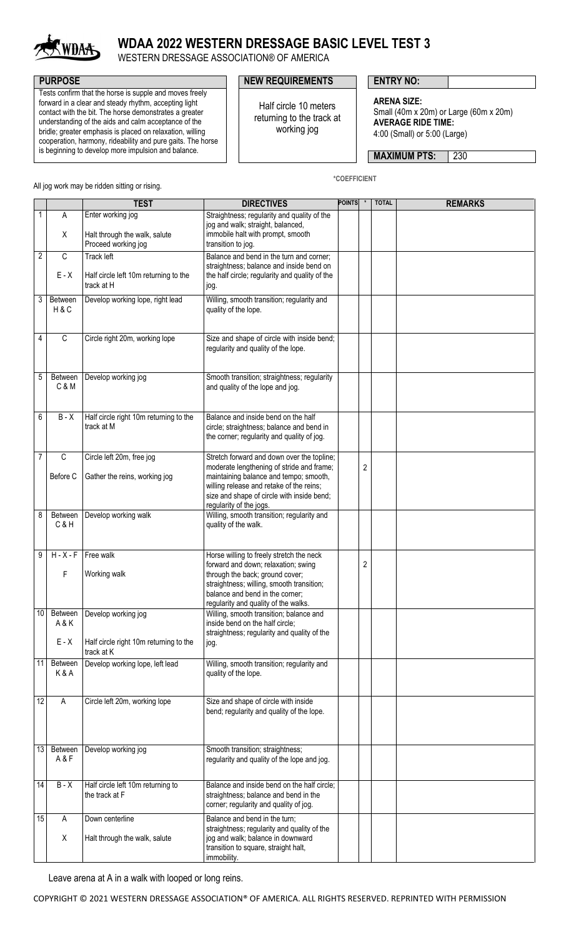

# **WDAA 2022 WESTERN DRESSAGE BASIC LEVEL TEST 3**

WESTERN DRESSAGE ASSOCIATION® OF AMERICA

Tests confirm that the horse is supple and moves freely forward in a clear and steady rhythm, accepting light contact with the bit. The horse demonstrates a greater understanding of the aids and calm acceptance of the bridle; greater emphasis is placed on relaxation, willing cooperation, harmony, rideability and pure gaits. The horse is beginning to develop more impulsion and balance.

### **PURPOSE PURPOSE ENTRY NO:**

Half circle 10 meters returning to the track at working jog

**\*COEFFICIENT**

**ARENA SIZE:** Small (40m x 20m) or Large (60m x 20m) **AVERAGE RIDE TIME:** 4:00 (Small) or 5:00 (Large)

**MAXIMUM PTS: 230** 

All jog work may be ridden sitting or rising.

**TEST DIRECTIVES POINTS \* TOTAL REMARKS** 1 A X Enter working jog Halt through the walk, salute Proceed working jog Straightness; regularity and quality of the jog and walk; straight, balanced, immobile halt with prompt, smooth transition to jog.  $2^{\circ}$  C  $F - X$ Track left Half circle left 10m returning to the track at H Balance and bend in the turn and corner; straightness; balance and inside bend on the half circle; regularity and quality of the jog. 3 Between H & C Develop working lope, right lead Willing, smooth transition; regularity and quality of the lope. 4 C Circle right 20m, working lope Size and shape of circle with inside bend; regularity and quality of the lope. 5 Between C & M Develop working jog straightness; regularity and quality of the lope and jog. 6 B - X Half circle right 10m returning to the track at M Balance and inside bend on the half circle; straightness; balance and bend in the corner; regularity and quality of jog. 7 C Before C Circle left 20m, free jog Gather the reins, working jog Stretch forward and down over the topline: moderate lengthening of stride and frame; maintaining balance and tempo; smooth, willing release and retake of the reins; size and shape of circle with inside bend; regularity of the jogs. 2 8 Between C & H Develop working walk Willing, smooth transition; regularity and quality of the walk.  $9$  H - X - F F Free walk Working walk Horse willing to freely stretch the neck forward and down; relaxation; swing through the back; ground cover; straightness; willing, smooth transition; balance and bend in the corner; regularity and quality of the walks.  $\overline{2}$ 10 Between A & K E - X Develop working jog Half circle right 10m returning to the track at K Willing, smooth transition; balance and inside bend on the half circle; straightness; regularity and quality of the jog. 11 Between K & A Develop working lope, left lead | Willing, smooth transition; regularity and quality of the lope. 12 A Circle left 20m, working lope Size and shape of circle with inside bend; regularity and quality of the lope. 13 Between A & F Develop working jog **Smooth transition;** straightness; regularity and quality of the lope and jog. 14 B - X Half circle left 10m returning to the track at F Balance and inside bend on the half circle; straightness; balance and bend in the corner; regularity and quality of jog. 15 A X Down centerline Halt through the walk, salute Balance and bend in the turn; straightness; regularity and quality of the jog and walk; balance in downward transition to square, straight halt, immobility.

Leave arena at A in a walk with looped or long reins.